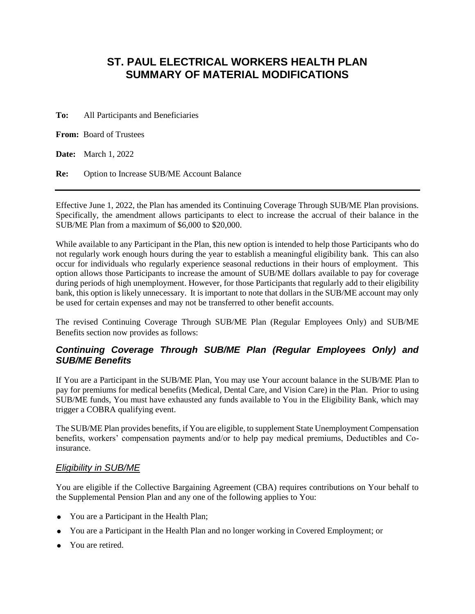# **ST. PAUL ELECTRICAL WORKERS HEALTH PLAN SUMMARY OF MATERIAL MODIFICATIONS**

**To:** All Participants and Beneficiaries

**From:** Board of Trustees

**Date:** March 1, 2022

**Re:** Option to Increase SUB/ME Account Balance

Effective June 1, 2022, the Plan has amended its Continuing Coverage Through SUB/ME Plan provisions. Specifically, the amendment allows participants to elect to increase the accrual of their balance in the SUB/ME Plan from a maximum of \$6,000 to \$20,000.

While available to any Participant in the Plan, this new option is intended to help those Participants who do not regularly work enough hours during the year to establish a meaningful eligibility bank. This can also occur for individuals who regularly experience seasonal reductions in their hours of employment. This option allows those Participants to increase the amount of SUB/ME dollars available to pay for coverage during periods of high unemployment. However, for those Participants that regularly add to their eligibility bank, this option is likely unnecessary. It is important to note that dollars in the SUB/ME account may only be used for certain expenses and may not be transferred to other benefit accounts.

The revised Continuing Coverage Through SUB/ME Plan (Regular Employees Only) and SUB/ME Benefits section now provides as follows:

# *Continuing Coverage Through SUB/ME Plan (Regular Employees Only) and SUB/ME Benefits*

If You are a Participant in the SUB/ME Plan, You may use Your account balance in the SUB/ME Plan to pay for premiums for medical benefits (Medical, Dental Care, and Vision Care) in the Plan. Prior to using SUB/ME funds, You must have exhausted any funds available to You in the Eligibility Bank, which may trigger a COBRA qualifying event.

The SUB/ME Plan provides benefits, if You are eligible, to supplement State Unemployment Compensation benefits, workers' compensation payments and/or to help pay medical premiums, Deductibles and Coinsurance.

### *Eligibility in SUB/ME*

You are eligible if the Collective Bargaining Agreement (CBA) requires contributions on Your behalf to the Supplemental Pension Plan and any one of the following applies to You:

- You are a Participant in the Health Plan;
- You are a Participant in the Health Plan and no longer working in Covered Employment; or
- You are retired.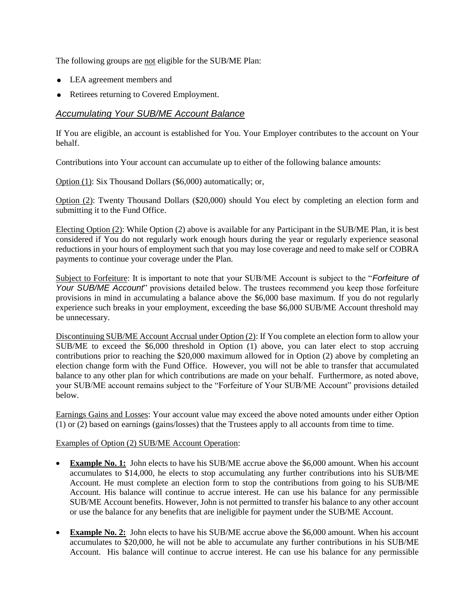The following groups are not eligible for the SUB/ME Plan:

- LEA agreement members and
- Retirees returning to Covered Employment.

### *Accumulating Your SUB/ME Account Balance*

If You are eligible, an account is established for You. Your Employer contributes to the account on Your behalf.

Contributions into Your account can accumulate up to either of the following balance amounts:

Option (1): Six Thousand Dollars (\$6,000) automatically; or,

Option (2): Twenty Thousand Dollars (\$20,000) should You elect by completing an election form and submitting it to the Fund Office.

Electing Option (2): While Option (2) above is available for any Participant in the SUB/ME Plan, it is best considered if You do not regularly work enough hours during the year or regularly experience seasonal reductions in your hours of employment such that you may lose coverage and need to make self or COBRA payments to continue your coverage under the Plan.

Subject to Forfeiture: It is important to note that your SUB/ME Account is subject to the "*Forfeiture of Your SUB/ME Account*" provisions detailed below. The trustees recommend you keep those forfeiture provisions in mind in accumulating a balance above the \$6,000 base maximum. If you do not regularly experience such breaks in your employment, exceeding the base \$6,000 SUB/ME Account threshold may be unnecessary.

Discontinuing SUB/ME Account Accrual under Option (2): If You complete an election form to allow your SUB/ME to exceed the \$6,000 threshold in Option (1) above, you can later elect to stop accruing contributions prior to reaching the \$20,000 maximum allowed for in Option (2) above by completing an election change form with the Fund Office. However, you will not be able to transfer that accumulated balance to any other plan for which contributions are made on your behalf. Furthermore, as noted above, your SUB/ME account remains subject to the "Forfeiture of Your SUB/ME Account" provisions detailed below.

Earnings Gains and Losses: Your account value may exceed the above noted amounts under either Option (1) or (2) based on earnings (gains/losses) that the Trustees apply to all accounts from time to time.

#### Examples of Option (2) SUB/ME Account Operation:

- **Example No. 1:** John elects to have his SUB/ME accrue above the \$6,000 amount. When his account accumulates to \$14,000, he elects to stop accumulating any further contributions into his SUB/ME Account. He must complete an election form to stop the contributions from going to his SUB/ME Account. His balance will continue to accrue interest. He can use his balance for any permissible SUB/ME Account benefits. However, John is not permitted to transfer his balance to any other account or use the balance for any benefits that are ineligible for payment under the SUB/ME Account.
- **Example No. 2:** John elects to have his SUB/ME accrue above the \$6,000 amount. When his account accumulates to \$20,000, he will not be able to accumulate any further contributions in his SUB/ME Account. His balance will continue to accrue interest. He can use his balance for any permissible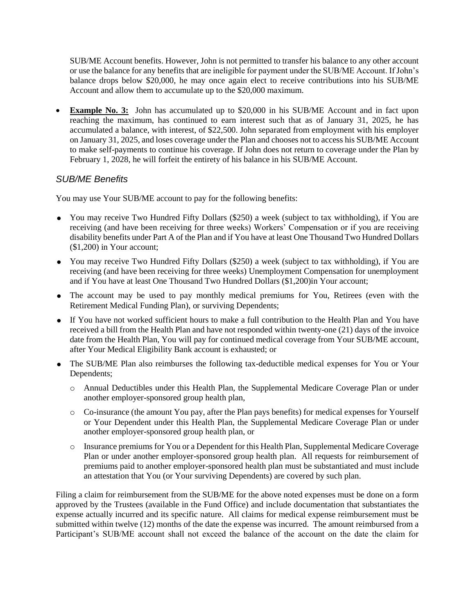SUB/ME Account benefits. However, John is not permitted to transfer his balance to any other account or use the balance for any benefits that are ineligible for payment under the SUB/ME Account. If John's balance drops below \$20,000, he may once again elect to receive contributions into his SUB/ME Account and allow them to accumulate up to the \$20,000 maximum.

 **Example No. 3:** John has accumulated up to \$20,000 in his SUB/ME Account and in fact upon reaching the maximum, has continued to earn interest such that as of January 31, 2025, he has accumulated a balance, with interest, of \$22,500. John separated from employment with his employer on January 31, 2025, and loses coverage under the Plan and chooses not to access his SUB/ME Account to make self-payments to continue his coverage. If John does not return to coverage under the Plan by February 1, 2028, he will forfeit the entirety of his balance in his SUB/ME Account.

# *SUB/ME Benefits*

You may use Your SUB/ME account to pay for the following benefits:

- You may receive Two Hundred Fifty Dollars (\$250) a week (subject to tax withholding), if You are receiving (and have been receiving for three weeks) Workers' Compensation or if you are receiving disability benefits under Part A of the Plan and if You have at least One Thousand Two Hundred Dollars (\$1,200) in Your account;
- You may receive Two Hundred Fifty Dollars (\$250) a week (subject to tax withholding), if You are receiving (and have been receiving for three weeks) Unemployment Compensation for unemployment and if You have at least One Thousand Two Hundred Dollars (\$1,200)in Your account;
- The account may be used to pay monthly medical premiums for You, Retirees (even with the Retirement Medical Funding Plan), or surviving Dependents;
- If You have not worked sufficient hours to make a full contribution to the Health Plan and You have received a bill from the Health Plan and have not responded within twenty-one (21) days of the invoice date from the Health Plan, You will pay for continued medical coverage from Your SUB/ME account, after Your Medical Eligibility Bank account is exhausted; or
- The SUB/ME Plan also reimburses the following tax-deductible medical expenses for You or Your Dependents;
	- o Annual Deductibles under this Health Plan, the Supplemental Medicare Coverage Plan or under another employer-sponsored group health plan,
	- o Co-insurance (the amount You pay, after the Plan pays benefits) for medical expenses for Yourself or Your Dependent under this Health Plan, the Supplemental Medicare Coverage Plan or under another employer-sponsored group health plan, or
	- o Insurance premiums for You or a Dependent for this Health Plan, Supplemental Medicare Coverage Plan or under another employer-sponsored group health plan. All requests for reimbursement of premiums paid to another employer-sponsored health plan must be substantiated and must include an attestation that You (or Your surviving Dependents) are covered by such plan.

Filing a claim for reimbursement from the SUB/ME for the above noted expenses must be done on a form approved by the Trustees (available in the Fund Office) and include documentation that substantiates the expense actually incurred and its specific nature. All claims for medical expense reimbursement must be submitted within twelve (12) months of the date the expense was incurred. The amount reimbursed from a Participant's SUB/ME account shall not exceed the balance of the account on the date the claim for